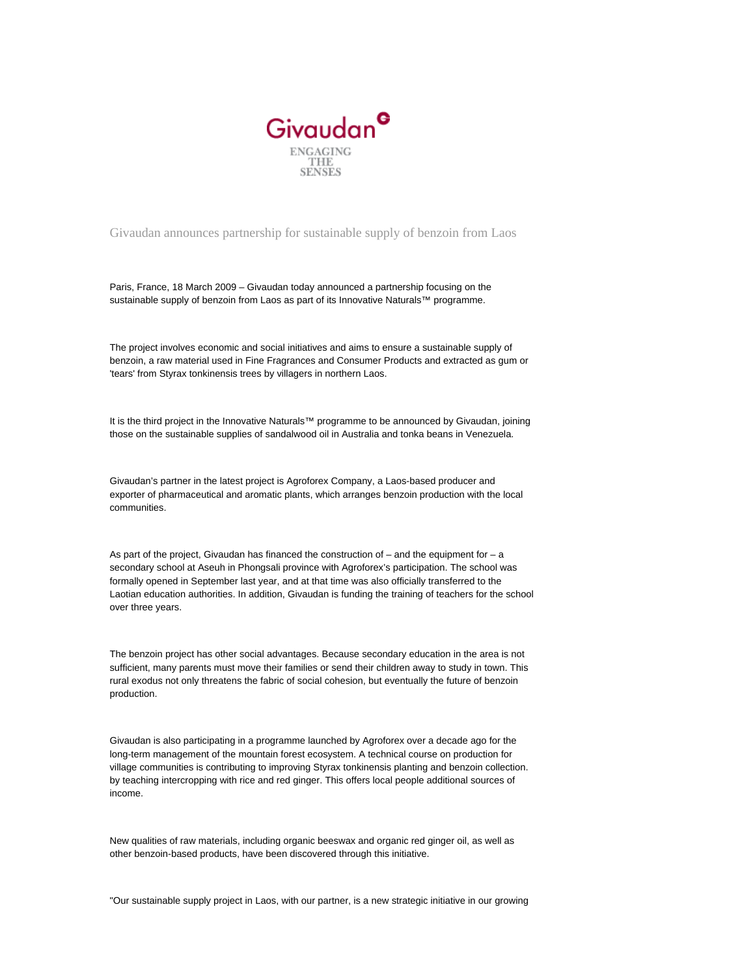

Givaudan announces partnership for sustainable supply of benzoin from Laos

Paris, France, 18 March 2009 – Givaudan today announced a partnership focusing on the sustainable supply of benzoin from Laos as part of its Innovative Naturals™ programme.

The project involves economic and social initiatives and aims to ensure a sustainable supply of benzoin, a raw material used in Fine Fragrances and Consumer Products and extracted as gum or 'tears' from Styrax tonkinensis trees by villagers in northern Laos.

It is the third project in the Innovative Naturals™ programme to be announced by Givaudan, joining those on the sustainable supplies of sandalwood oil in Australia and tonka beans in Venezuela.

Givaudan's partner in the latest project is Agroforex Company, a Laos-based producer and exporter of pharmaceutical and aromatic plants, which arranges benzoin production with the local communities.

As part of the project, Givaudan has financed the construction of  $-$  and the equipment for  $-$  a secondary school at Aseuh in Phongsali province with Agroforex's participation. The school was formally opened in September last year, and at that time was also officially transferred to the Laotian education authorities. In addition, Givaudan is funding the training of teachers for the school over three years.

The benzoin project has other social advantages. Because secondary education in the area is not sufficient, many parents must move their families or send their children away to study in town. This rural exodus not only threatens the fabric of social cohesion, but eventually the future of benzoin production.

Givaudan is also participating in a programme launched by Agroforex over a decade ago for the long-term management of the mountain forest ecosystem. A technical course on production for village communities is contributing to improving Styrax tonkinensis planting and benzoin collection. by teaching intercropping with rice and red ginger. This offers local people additional sources of income.

New qualities of raw materials, including organic beeswax and organic red ginger oil, as well as other benzoin-based products, have been discovered through this initiative.

"Our sustainable supply project in Laos, with our partner, is a new strategic initiative in our growing